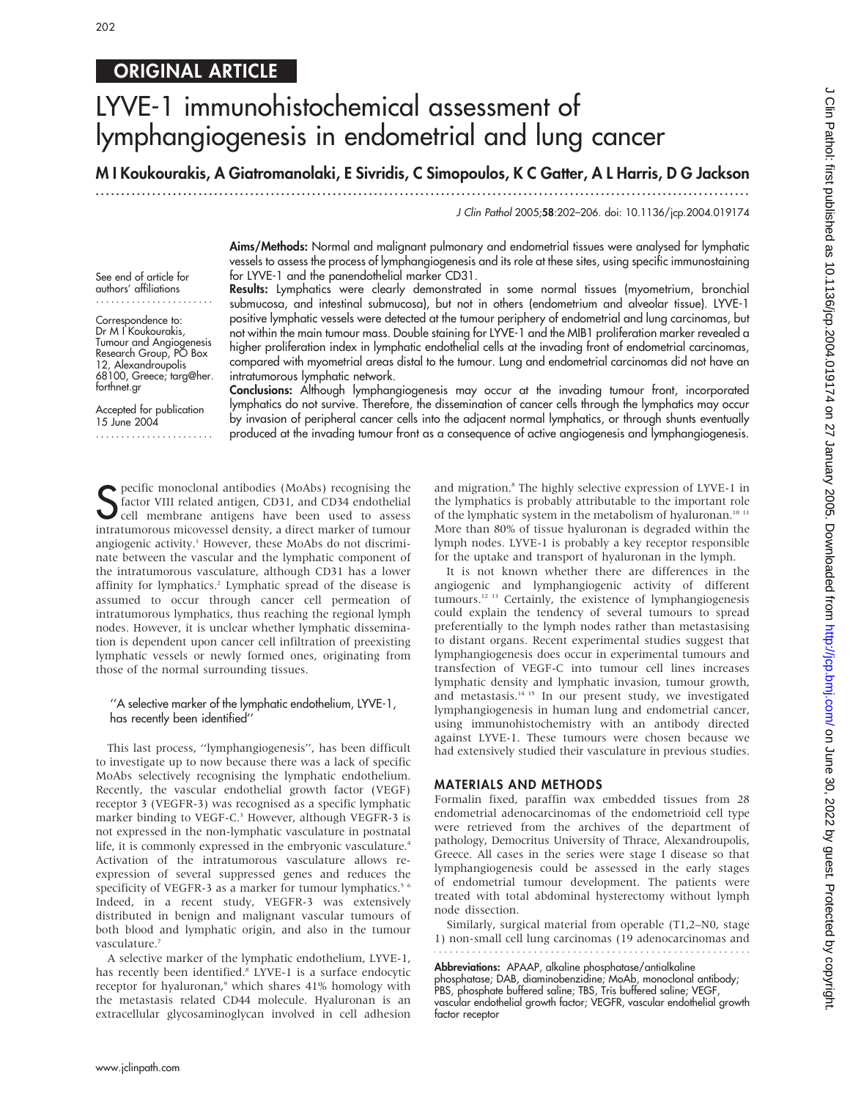# ORIGINAL ARTICLE

# LYVE-1 immunohistochemical assessment of lymphangiogenesis in endometrial and lung cancer

M I Koukourakis, A Giatromanolaki, E Sivridis, C Simopoulos, K C Gatter, A L Harris, D G Jackson

...............................................................................................................................

J Clin Pathol 2005;58:202–206. doi: 10.1136/jcp.2004.019174

Aims/Methods: Normal and malignant pulmonary and endometrial tissues were analysed for lymphatic vessels to assess the process of lymphangiogenesis and its role at these sites, using specific immunostaining for LYVE-1 and the panendothelial marker CD31.

See end of article for authors' affiliations .......................

Correspondence to: Dr M I Koukourakis, Tumour and Angiogenesis Research Group, PO Box 12, Alexandroupolis 68100, Greece; targ@her. forthnet.gr

Accepted for publication 15 June 2004 ....................... Results: Lymphatics were clearly demonstrated in some normal tissues (myometrium, bronchial submucosa, and intestinal submucosa), but not in others (endometrium and alveolar tissue). LYVE-1 positive lymphatic vessels were detected at the tumour periphery of endometrial and lung carcinomas, but not within the main tumour mass. Double staining for LYVE-1 and the MIB1 proliferation marker revealed a higher proliferation index in lymphatic endothelial cells at the invading front of endometrial carcinomas, compared with myometrial areas distal to the tumour. Lung and endometrial carcinomas did not have an intratumorous lymphatic network.

Conclusions: Although lymphangiogenesis may occur at the invading tumour front, incorporated lymphatics do not survive. Therefore, the dissemination of cancer cells through the lymphatics may occur by invasion of peripheral cancer cells into the adjacent normal lymphatics, or through shunts eventually produced at the invading tumour front as a consequence of active angiogenesis and lymphangiogenesis.

Secrific monoclonal antibodies (MoAbs) recognising the<br>
Secritor VIII related antigen, CD31, and CD34 endothelial<br>
cell membrane antigens have been used to assess factor VIII related antigen, CD31, and CD34 endothelial cell membrane antigens have been used to assess intratumorous micovessel density, a direct marker of tumour angiogenic activity.<sup>1</sup> However, these MoAbs do not discriminate between the vascular and the lymphatic component of the intratumorous vasculature, although CD31 has a lower affinity for lymphatics.<sup>2</sup> Lymphatic spread of the disease is assumed to occur through cancer cell permeation of intratumorous lymphatics, thus reaching the regional lymph nodes. However, it is unclear whether lymphatic dissemination is dependent upon cancer cell infiltration of preexisting lymphatic vessels or newly formed ones, originating from those of the normal surrounding tissues.

# ''A selective marker of the lymphatic endothelium, LYVE-1, has recently been identified''

This last process, ''lymphangiogenesis'', has been difficult to investigate up to now because there was a lack of specific MoAbs selectively recognising the lymphatic endothelium. Recently, the vascular endothelial growth factor (VEGF) receptor 3 (VEGFR-3) was recognised as a specific lymphatic marker binding to VEGF-C.<sup>3</sup> However, although VEGFR-3 is not expressed in the non-lymphatic vasculature in postnatal life, it is commonly expressed in the embryonic vasculature.<sup>4</sup> Activation of the intratumorous vasculature allows reexpression of several suppressed genes and reduces the specificity of VEGFR-3 as a marker for tumour lymphatics.<sup>5 6</sup> Indeed, in a recent study, VEGFR-3 was extensively distributed in benign and malignant vascular tumours of both blood and lymphatic origin, and also in the tumour vasculature.<sup>7</sup>

A selective marker of the lymphatic endothelium, LYVE-1, has recently been identified.<sup>8</sup> LYVE-1 is a surface endocytic receptor for hyaluronan,<sup>9</sup> which shares 41% homology with the metastasis related CD44 molecule. Hyaluronan is an extracellular glycosaminoglycan involved in cell adhesion and migration.8 The highly selective expression of LYVE-1 in the lymphatics is probably attributable to the important role of the lymphatic system in the metabolism of hyaluronan.<sup>10 11</sup> More than 80% of tissue hyaluronan is degraded within the lymph nodes. LYVE-1 is probably a key receptor responsible for the uptake and transport of hyaluronan in the lymph.

It is not known whether there are differences in the angiogenic and lymphangiogenic activity of different tumours.12 13 Certainly, the existence of lymphangiogenesis could explain the tendency of several tumours to spread preferentially to the lymph nodes rather than metastasising to distant organs. Recent experimental studies suggest that lymphangiogenesis does occur in experimental tumours and transfection of VEGF-C into tumour cell lines increases lymphatic density and lymphatic invasion, tumour growth, and metastasis.<sup>14 15</sup> In our present study, we investigated lymphangiogenesis in human lung and endometrial cancer, using immunohistochemistry with an antibody directed against LYVE-1. These tumours were chosen because we had extensively studied their vasculature in previous studies.

# MATERIALS AND METHODS

Formalin fixed, paraffin wax embedded tissues from 28 endometrial adenocarcinomas of the endometrioid cell type were retrieved from the archives of the department of pathology, Democritus University of Thrace, Alexandroupolis, Greece. All cases in the series were stage I disease so that lymphangiogenesis could be assessed in the early stages of endometrial tumour development. The patients were treated with total abdominal hysterectomy without lymph node dissection.

Similarly, surgical material from operable (T1,2–N0, stage 1) non-small cell lung carcinomas (19 adenocarcinomas and 

Abbreviations: APAAP, alkaline phosphatase/antialkaline phosphatase; DAB, diaminobenzidine; MoAb, monoclonal antibody; PBS, phosphate buffered saline; TBS, Tris buffered saline; VEGF, vascular endothelial growth factor; VEGFR, vascular endothelial growth factor receptor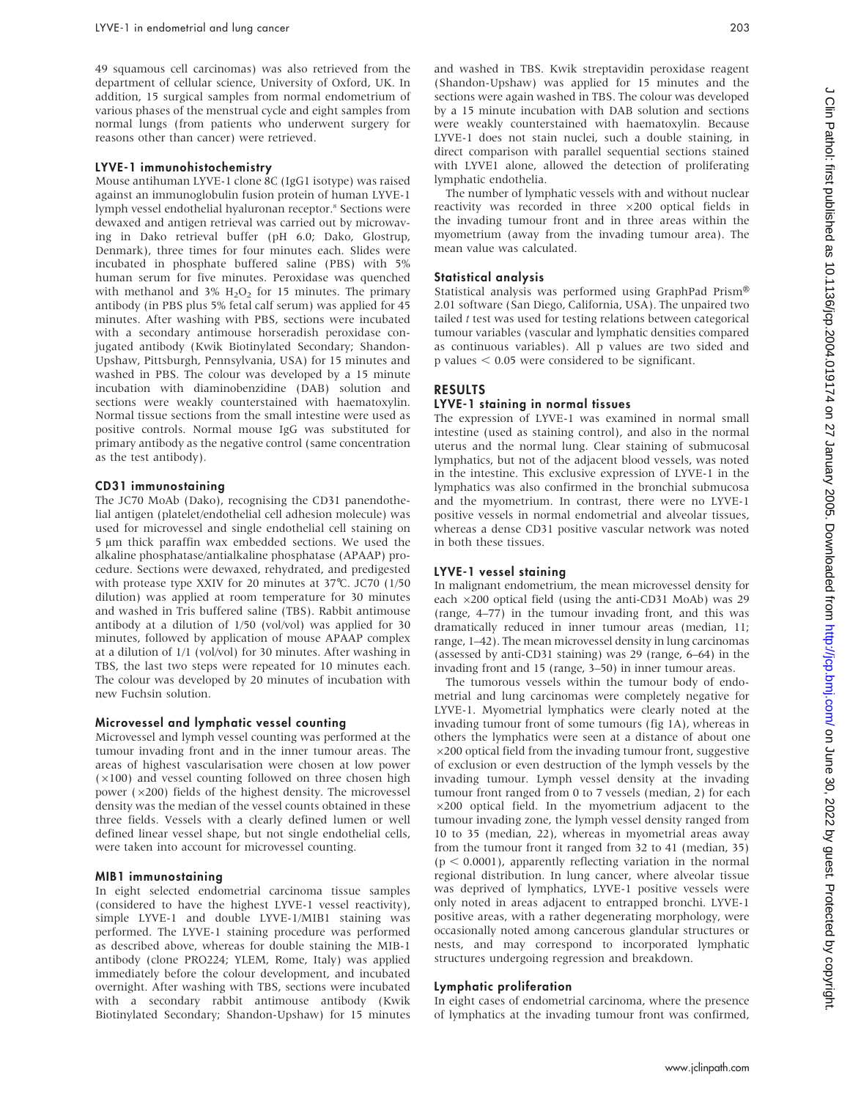49 squamous cell carcinomas) was also retrieved from the department of cellular science, University of Oxford, UK. In addition, 15 surgical samples from normal endometrium of various phases of the menstrual cycle and eight samples from normal lungs (from patients who underwent surgery for reasons other than cancer) were retrieved.

#### LYVE-1 immunohistochemistry

Mouse antihuman LYVE-1 clone 8C (IgG1 isotype) was raised against an immunoglobulin fusion protein of human LYVE-1 lymph vessel endothelial hyaluronan receptor.<sup>8</sup> Sections were dewaxed and antigen retrieval was carried out by microwaving in Dako retrieval buffer (pH 6.0; Dako, Glostrup, Denmark), three times for four minutes each. Slides were incubated in phosphate buffered saline (PBS) with 5% human serum for five minutes. Peroxidase was quenched with methanol and 3%  $H_2O_2$  for 15 minutes. The primary antibody (in PBS plus 5% fetal calf serum) was applied for 45 minutes. After washing with PBS, sections were incubated with a secondary antimouse horseradish peroxidase conjugated antibody (Kwik Biotinylated Secondary; Shandon-Upshaw, Pittsburgh, Pennsylvania, USA) for 15 minutes and washed in PBS. The colour was developed by a 15 minute incubation with diaminobenzidine (DAB) solution and sections were weakly counterstained with haematoxylin. Normal tissue sections from the small intestine were used as positive controls. Normal mouse IgG was substituted for primary antibody as the negative control (same concentration as the test antibody).

## CD31 immunostaining

The JC70 MoAb (Dako), recognising the CD31 panendothelial antigen (platelet/endothelial cell adhesion molecule) was used for microvessel and single endothelial cell staining on 5 µm thick paraffin wax embedded sections. We used the alkaline phosphatase/antialkaline phosphatase (APAAP) procedure. Sections were dewaxed, rehydrated, and predigested with protease type XXIV for 20 minutes at 37˚C. JC70 (1/50 dilution) was applied at room temperature for 30 minutes and washed in Tris buffered saline (TBS). Rabbit antimouse antibody at a dilution of 1/50 (vol/vol) was applied for 30 minutes, followed by application of mouse APAAP complex at a dilution of 1/1 (vol/vol) for 30 minutes. After washing in TBS, the last two steps were repeated for 10 minutes each. The colour was developed by 20 minutes of incubation with new Fuchsin solution.

# Microvessel and lymphatic vessel counting

Microvessel and lymph vessel counting was performed at the tumour invading front and in the inner tumour areas. The areas of highest vascularisation were chosen at low power  $(x100)$  and vessel counting followed on three chosen high power  $(x200)$  fields of the highest density. The microvessel density was the median of the vessel counts obtained in these three fields. Vessels with a clearly defined lumen or well defined linear vessel shape, but not single endothelial cells, were taken into account for microvessel counting.

#### MIB1 immunostaining

In eight selected endometrial carcinoma tissue samples (considered to have the highest LYVE-1 vessel reactivity), simple LYVE-1 and double LYVE-1/MIB1 staining was performed. The LYVE-1 staining procedure was performed as described above, whereas for double staining the MIB-1 antibody (clone PRO224; YLEM, Rome, Italy) was applied immediately before the colour development, and incubated overnight. After washing with TBS, sections were incubated with a secondary rabbit antimouse antibody (Kwik Biotinylated Secondary; Shandon-Upshaw) for 15 minutes

and washed in TBS. Kwik streptavidin peroxidase reagent (Shandon-Upshaw) was applied for 15 minutes and the sections were again washed in TBS. The colour was developed by a 15 minute incubation with DAB solution and sections were weakly counterstained with haematoxylin. Because LYVE-1 does not stain nuclei, such a double staining, in direct comparison with parallel sequential sections stained with LYVE1 alone, allowed the detection of proliferating lymphatic endothelia.

The number of lymphatic vessels with and without nuclear reactivity was recorded in three  $\times 200$  optical fields in the invading tumour front and in three areas within the myometrium (away from the invading tumour area). The mean value was calculated.

#### Statistical analysis

Statistical analysis was performed using GraphPad Prism® 2.01 software (San Diego, California, USA). The unpaired two tailed  $t$  test was used for testing relations between categorical tumour variables (vascular and lymphatic densities compared as continuous variables). All p values are two sided and  $p$  values  $< 0.05$  were considered to be significant.

# RESULTS

# LYVE-1 staining in normal tissues

The expression of LYVE-1 was examined in normal small intestine (used as staining control), and also in the normal uterus and the normal lung. Clear staining of submucosal lymphatics, but not of the adjacent blood vessels, was noted in the intestine. This exclusive expression of LYVE-1 in the lymphatics was also confirmed in the bronchial submucosa and the myometrium. In contrast, there were no LYVE-1 positive vessels in normal endometrial and alveolar tissues, whereas a dense CD31 positive vascular network was noted in both these tissues.

#### LYVE-1 vessel staining

In malignant endometrium, the mean microvessel density for each  $\times$ 200 optical field (using the anti-CD31 MoAb) was 29 (range, 4–77) in the tumour invading front, and this was dramatically reduced in inner tumour areas (median, 11; range, 1–42). The mean microvessel density in lung carcinomas (assessed by anti-CD31 staining) was 29 (range, 6–64) in the invading front and 15 (range, 3–50) in inner tumour areas.

The tumorous vessels within the tumour body of endometrial and lung carcinomas were completely negative for LYVE-1. Myometrial lymphatics were clearly noted at the invading tumour front of some tumours (fig 1A), whereas in others the lymphatics were seen at a distance of about one  $\times$ 200 optical field from the invading tumour front, suggestive of exclusion or even destruction of the lymph vessels by the invading tumour. Lymph vessel density at the invading tumour front ranged from 0 to 7 vessels (median, 2) for each  $\times$ 200 optical field. In the myometrium adjacent to the tumour invading zone, the lymph vessel density ranged from 10 to 35 (median, 22), whereas in myometrial areas away from the tumour front it ranged from 32 to 41 (median, 35)  $(p < 0.0001)$ , apparently reflecting variation in the normal regional distribution. In lung cancer, where alveolar tissue was deprived of lymphatics, LYVE-1 positive vessels were only noted in areas adjacent to entrapped bronchi. LYVE-1 positive areas, with a rather degenerating morphology, were occasionally noted among cancerous glandular structures or nests, and may correspond to incorporated lymphatic structures undergoing regression and breakdown.

# Lymphatic proliferation

In eight cases of endometrial carcinoma, where the presence of lymphatics at the invading tumour front was confirmed,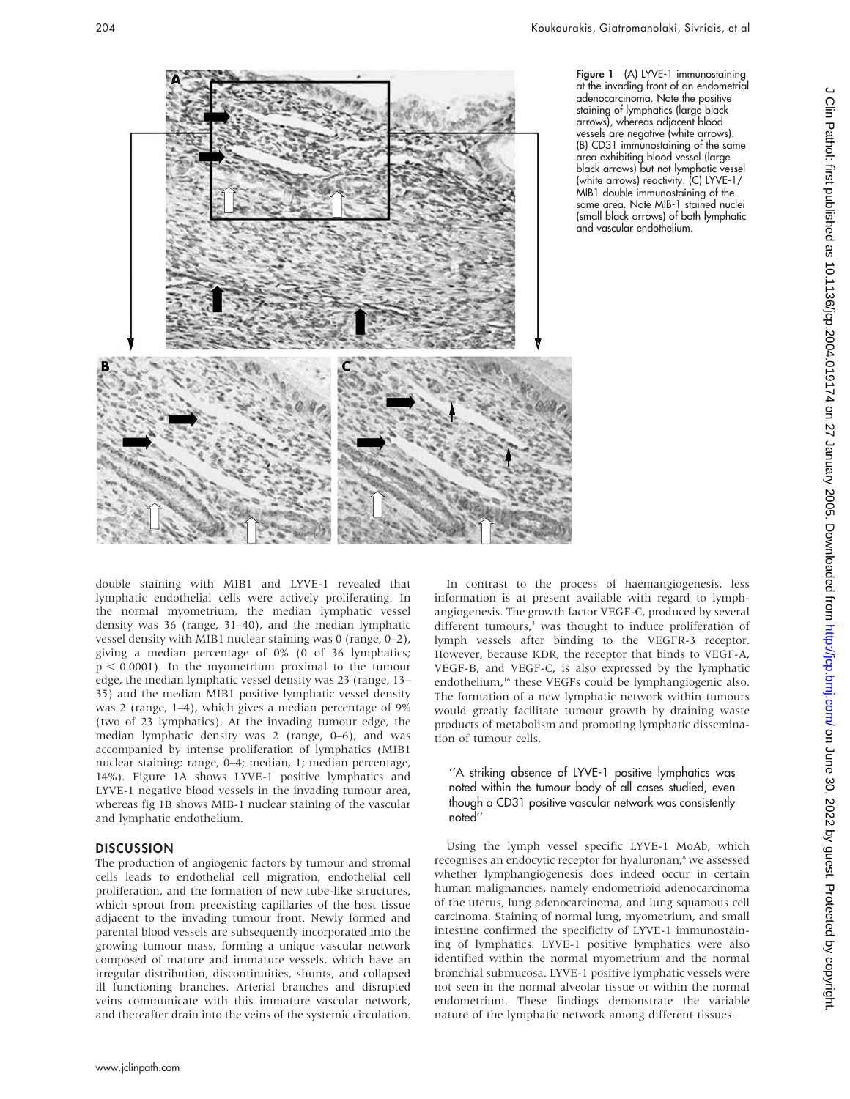

Figure 1 (A) LYVE-1 immunostaining at the invading front of an endometrial adenocarcinoma. Note the positive staining of lymphatics (large black arrows), whereas adjacent blood vessels are negative (white arrows). (B) CD31 immunostaining of the same area exhibiting blood vessel (large black arrows) but not lymphatic vessel (white arrows) reactivity. (C) LYVE-1/ MIB1 double immunostaining of the same area. Note MIB-1 stained nuclei (small black arrows) of both lymphatic and vascular endothelium.

double staining with MIB1 and LYVE-1 revealed that lymphatic endothelial cells were actively proliferating. In the normal myometrium, the median lymphatic vessel density was 36 (range, 31–40), and the median lymphatic vessel density with MIB1 nuclear staining was 0 (range, 0–2), giving a median percentage of 0% (0 of 36 lymphatics;  $p < 0.0001$ ). In the myometrium proximal to the tumour edge, the median lymphatic vessel density was 23 (range, 13– 35) and the median MIB1 positive lymphatic vessel density was 2 (range, 1–4), which gives a median percentage of 9% (two of 23 lymphatics). At the invading tumour edge, the median lymphatic density was 2 (range, 0–6), and was accompanied by intense proliferation of lymphatics (MIB1 nuclear staining: range, 0–4; median, 1; median percentage, 14%). Figure 1A shows LYVE-1 positive lymphatics and LYVE-1 negative blood vessels in the invading tumour area, whereas fig 1B shows MIB-1 nuclear staining of the vascular and lymphatic endothelium.

# **DISCUSSION**

The production of angiogenic factors by tumour and stromal cells leads to endothelial cell migration, endothelial cell proliferation, and the formation of new tube-like structures, which sprout from preexisting capillaries of the host tissue adjacent to the invading tumour front. Newly formed and parental blood vessels are subsequently incorporated into the growing tumour mass, forming a unique vascular network composed of mature and immature vessels, which have an irregular distribution, discontinuities, shunts, and collapsed ill functioning branches. Arterial branches and disrupted veins communicate with this immature vascular network, and thereafter drain into the veins of the systemic circulation.

In contrast to the process of haemangiogenesis, less information is at present available with regard to lymphangiogenesis. The growth factor VEGF-C, produced by several different tumours,<sup>3</sup> was thought to induce proliferation of lymph vessels after binding to the VEGFR-3 receptor. However, because KDR, the receptor that binds to VEGF-A, VEGF-B, and VEGF-C, is also expressed by the lymphatic endothelium,<sup>16</sup> these VEGFs could be lymphangiogenic also. The formation of a new lymphatic network within tumours would greatly facilitate tumour growth by draining waste products of metabolism and promoting lymphatic dissemination of tumour cells.

# ''A striking absence of LYVE-1 positive lymphatics was noted within the tumour body of all cases studied, even though a CD31 positive vascular network was consistently noted''

Using the lymph vessel specific LYVE-1 MoAb, which recognises an endocytic receptor for hyaluronan,<sup>8</sup> we assessed whether lymphangiogenesis does indeed occur in certain human malignancies, namely endometrioid adenocarcinoma of the uterus, lung adenocarcinoma, and lung squamous cell carcinoma. Staining of normal lung, myometrium, and small intestine confirmed the specificity of LYVE-1 immunostaining of lymphatics. LYVE-1 positive lymphatics were also identified within the normal myometrium and the normal bronchial submucosa. LYVE-1 positive lymphatic vessels were not seen in the normal alveolar tissue or within the normal endometrium. These findings demonstrate the variable nature of the lymphatic network among different tissues.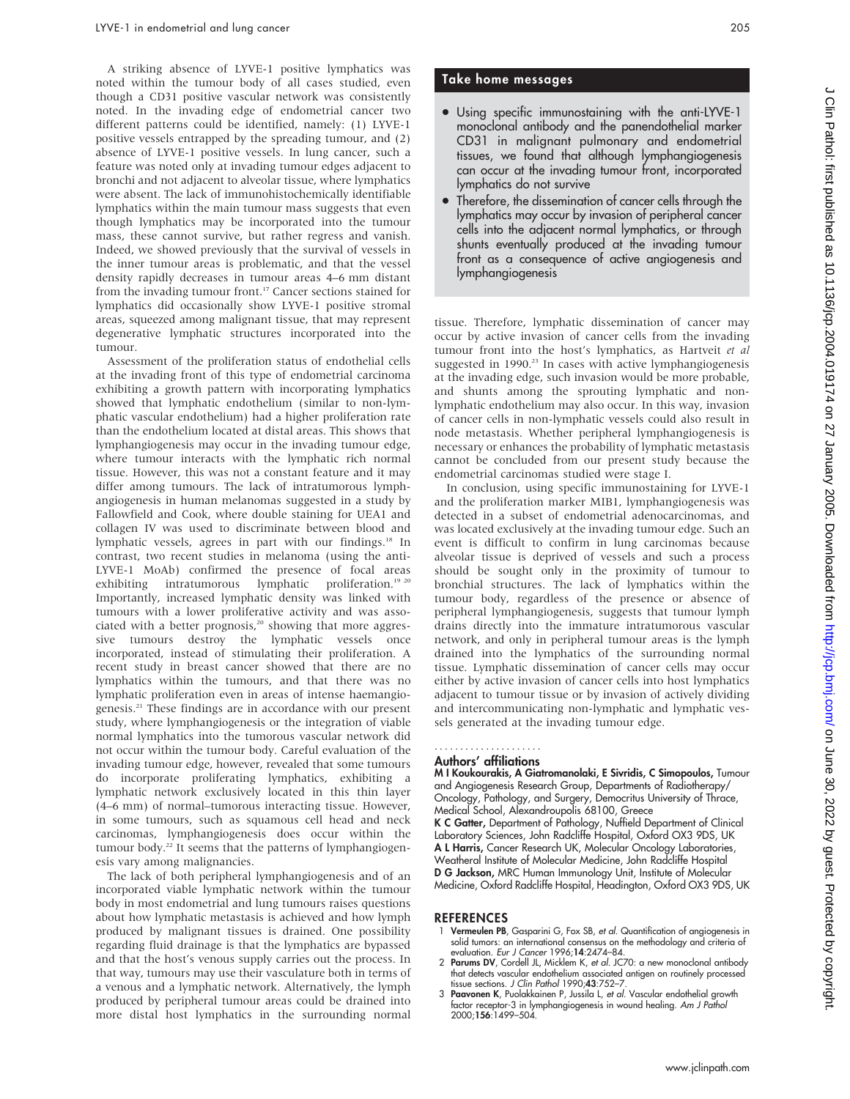A striking absence of LYVE-1 positive lymphatics was noted within the tumour body of all cases studied, even though a CD31 positive vascular network was consistently noted. In the invading edge of endometrial cancer two different patterns could be identified, namely: (1) LYVE-1 positive vessels entrapped by the spreading tumour, and (2) absence of LYVE-1 positive vessels. In lung cancer, such a feature was noted only at invading tumour edges adjacent to bronchi and not adjacent to alveolar tissue, where lymphatics were absent. The lack of immunohistochemically identifiable lymphatics within the main tumour mass suggests that even though lymphatics may be incorporated into the tumour mass, these cannot survive, but rather regress and vanish. Indeed, we showed previously that the survival of vessels in the inner tumour areas is problematic, and that the vessel density rapidly decreases in tumour areas 4–6 mm distant from the invading tumour front.<sup>17</sup> Cancer sections stained for lymphatics did occasionally show LYVE-1 positive stromal areas, squeezed among malignant tissue, that may represent degenerative lymphatic structures incorporated into the tumour.

Assessment of the proliferation status of endothelial cells at the invading front of this type of endometrial carcinoma exhibiting a growth pattern with incorporating lymphatics showed that lymphatic endothelium (similar to non-lymphatic vascular endothelium) had a higher proliferation rate than the endothelium located at distal areas. This shows that lymphangiogenesis may occur in the invading tumour edge, where tumour interacts with the lymphatic rich normal tissue. However, this was not a constant feature and it may differ among tumours. The lack of intratumorous lymphangiogenesis in human melanomas suggested in a study by Fallowfield and Cook, where double staining for UEA1 and collagen IV was used to discriminate between blood and lymphatic vessels, agrees in part with our findings.<sup>18</sup> In contrast, two recent studies in melanoma (using the anti-LYVE-1 MoAb) confirmed the presence of focal areas exhibiting intratumorous lymphatic proliferation.<sup>19 20</sup> Importantly, increased lymphatic density was linked with tumours with a lower proliferative activity and was associated with a better prognosis,<sup>20</sup> showing that more aggressive tumours destroy the lymphatic vessels once incorporated, instead of stimulating their proliferation. A recent study in breast cancer showed that there are no lymphatics within the tumours, and that there was no lymphatic proliferation even in areas of intense haemangiogenesis.21 These findings are in accordance with our present study, where lymphangiogenesis or the integration of viable normal lymphatics into the tumorous vascular network did not occur within the tumour body. Careful evaluation of the invading tumour edge, however, revealed that some tumours do incorporate proliferating lymphatics, exhibiting a lymphatic network exclusively located in this thin layer (4–6 mm) of normal–tumorous interacting tissue. However, in some tumours, such as squamous cell head and neck carcinomas, lymphangiogenesis does occur within the tumour body.<sup>22</sup> It seems that the patterns of lymphangiogenesis vary among malignancies.

The lack of both peripheral lymphangiogenesis and of an incorporated viable lymphatic network within the tumour body in most endometrial and lung tumours raises questions about how lymphatic metastasis is achieved and how lymph produced by malignant tissues is drained. One possibility regarding fluid drainage is that the lymphatics are bypassed and that the host's venous supply carries out the process. In that way, tumours may use their vasculature both in terms of a venous and a lymphatic network. Alternatively, the lymph produced by peripheral tumour areas could be drained into more distal host lymphatics in the surrounding normal

# Take home messages

- Using specific immunostaining with the anti-LYVE-1 monoclonal antibody and the panendothelial marker CD31 in malignant pulmonary and endometrial tissues, we found that although lymphangiogenesis can occur at the invading tumour front, incorporated lymphatics do not survive
- Therefore, the dissemination of cancer cells through the lymphatics may occur by invasion of peripheral cancer cells into the adjacent normal lymphatics, or through shunts eventually produced at the invading tumour front as a consequence of active angiogenesis and lymphangiogenesis

tissue. Therefore, lymphatic dissemination of cancer may occur by active invasion of cancer cells from the invading tumour front into the host's lymphatics, as Hartveit et al suggested in 1990.<sup>23</sup> In cases with active lymphangiogenesis at the invading edge, such invasion would be more probable, and shunts among the sprouting lymphatic and nonlymphatic endothelium may also occur. In this way, invasion of cancer cells in non-lymphatic vessels could also result in node metastasis. Whether peripheral lymphangiogenesis is necessary or enhances the probability of lymphatic metastasis cannot be concluded from our present study because the endometrial carcinomas studied were stage I.

In conclusion, using specific immunostaining for LYVE-1 and the proliferation marker MIB1, lymphangiogenesis was detected in a subset of endometrial adenocarcinomas, and was located exclusively at the invading tumour edge. Such an event is difficult to confirm in lung carcinomas because alveolar tissue is deprived of vessels and such a process should be sought only in the proximity of tumour to bronchial structures. The lack of lymphatics within the tumour body, regardless of the presence or absence of peripheral lymphangiogenesis, suggests that tumour lymph drains directly into the immature intratumorous vascular network, and only in peripheral tumour areas is the lymph drained into the lymphatics of the surrounding normal tissue. Lymphatic dissemination of cancer cells may occur either by active invasion of cancer cells into host lymphatics adjacent to tumour tissue or by invasion of actively dividing and intercommunicating non-lymphatic and lymphatic vessels generated at the invading tumour edge.

#### Authors' affiliations .....................

M I Koukourakis, A Giatromanolaki, E Sivridis, C Simopoulos, Tumour and Angiogenesis Research Group, Departments of Radiotherapy/ Oncology, Pathology, and Surgery, Democritus University of Thrace, Medical School, Alexandroupolis 68100, Greece K C Gatter, Department of Pathology, Nuffield Department of Clinical Laboratory Sciences, John Radcliffe Hospital, Oxford OX3 9DS, UK A L Harris, Cancer Research UK, Molecular Oncology Laboratories, Weatheral Institute of Molecular Medicine, John Radcliffe Hospital D G Jackson, MRC Human Immunology Unit, Institute of Molecular Medicine, Oxford Radcliffe Hospital, Headington, Oxford OX3 9DS, UK

### REFERENCES

- Vermeulen PB, Gasparini G, Fox SB, et al. Quantification of angiogenesis in solid tumors: an international consensus on the methodology and criteria of evaluation. Eur J Cancer 1996;14:2474–84.
- 2 Parums DV, Cordell JL, Micklem K, et al. JC70: a new monoclonal antibody that detects vascular endothelium associated antigen on routinely processed tissue sections. J Clin Pathol 1990;43:752–7.
- 3 Paavonen K, Puolakkainen P, Jussila L, et al. Vascular endothelial growth tactor receptor-3 in lymphangiogenesis in wound healing. *Am J Pathol*<br>2000;**156**:1499–504.